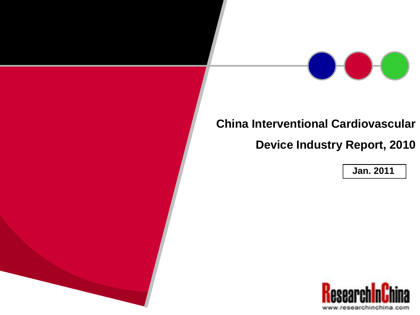

## **China Interventional Cardiovascular**

**Device Industry Report, 2010**

**Jan. 2011**

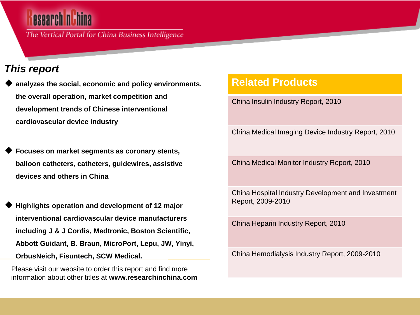The Vertical Portal for China Business Intelligence

### *This report*

- **analyzes the social, economic and policy environments, the overall operation, market competition and development trends of Chinese interventional cardiovascular device industry**
- **Focuses on market segments as coronary stents, balloon catheters, catheters, guidewires, assistive devices and others in China**
- **Highlights operation and development of 12 major interventional cardiovascular device manufacturers including J & J Cordis, Medtronic, Boston Scientific, Abbott Guidant, B. Braun, MicroPort, Lepu, JW, Yinyi, OrbusNeich, Fisuntech, SCW Medical.**

Please visit our website to order this report and find more information about other titles at **www.researchinchina.com**

### **Related Products**

China Insulin Industry Report, 2010

China Medical Imaging Device Industry Report, 2010

China Medical Monitor Industry Report, 2010

China Hospital Industry Development and Investment Report, 2009-2010

China Heparin Industry Report, 2010

China Hemodialysis Industry Report, 2009-2010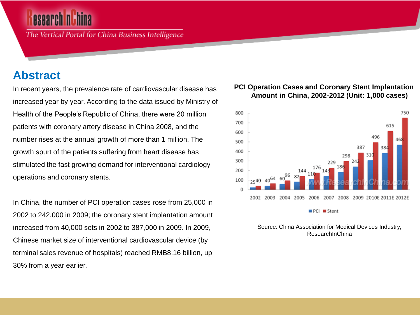The Vertical Portal for China Business Intelligence

## **Abstract**

In recent years, the prevalence rate of cardiovascular disease has increased year by year. According to the data issued by Ministry of Health of the People's Republic of China, there were 20 million patients with coronary artery disease in China 2008, and the number rises at the annual growth of more than 1 million. The growth spurt of the patients suffering from heart disease has stimulated the fast growing demand for interventional cardiology operations and coronary stents.

In China, the number of PCI operation cases rose from 25,000 in 2002 to 242,000 in 2009; the coronary stent implantation amount increased from 40,000 sets in 2002 to 387,000 in 2009. In 2009, Chinese market size of interventional cardiovascular device (by terminal sales revenue of hospitals) reached RMB8.16 billion, up 30% from a year earlier.

### **PCI Operation Cases and Coronary Stent Implantation Amount in China, 2002-2012 (Unit: 1,000 cases)**



Source: China Association for Medical Devices Industry, ResearchInChina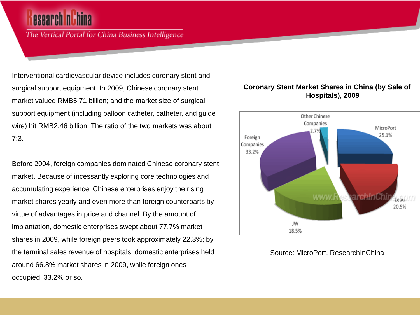The Vertical Portal for China Business Intelligence

Interventional cardiovascular device includes coronary stent and surgical support equipment. In 2009, Chinese coronary stent market valued RMB5.71 billion; and the market size of surgical support equipment (including balloon catheter, catheter, and guide wire) hit RMB2.46 billion. The ratio of the two markets was about 7:3.

Before 2004, foreign companies dominated Chinese coronary stent market. Because of incessantly exploring core technologies and accumulating experience, Chinese enterprises enjoy the rising market shares yearly and even more than foreign counterparts by virtue of advantages in price and channel. By the amount of implantation, domestic enterprises swept about 77.7% market shares in 2009, while foreign peers took approximately 22.3%; by the terminal sales revenue of hospitals, domestic enterprises held around 66.8% market shares in 2009, while foreign ones occupied 33.2% or so.



#### **Coronary Stent Market Shares in China (by Sale of Hospitals), 2009**

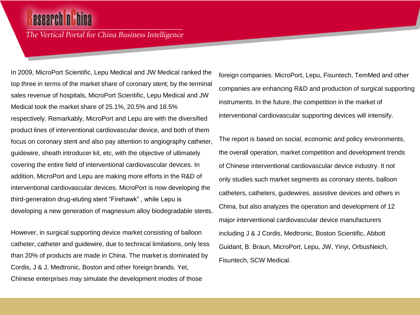## esearch n'hina

The Vertical Portal for China Business Intelligence

In 2009, MicroPort Scientific, Lepu Medical and JW Medical ranked the top three in terms of the market share of coronary stent; by the terminal sales revenue of hospitals, MicroPort Scientific, Lepu Medical and JW Medical took the market share of 25.1%, 20.5% and 18.5% respectively. Remarkably, MicroPort and Lepu are with the diversified product lines of interventional cardiovascular device, and both of them focus on coronary stent and also pay attention to angiography catheter, guidewire, sheath introducer kit, etc, with the objective of ultimately covering the entire field of interventional cardiovascular devices. In addition, MicroPort and Lepu are making more efforts in the R&D of interventional cardiovascular devices. MicroPort is now developing the third-generation drug-eluting stent "Firehawk" , while Lepu is developing a new generation of magnesium alloy biodegradable stents.

However, in surgical supporting device market consisting of balloon catheter, catheter and guidewire, due to technical limitations, only less than 20% of products are made in China. The market is dominated by Cordis, J & J, Medtronic, Boston and other foreign brands. Yet, Chinese enterprises may simulate the development modes of those

foreign companies. MicroPort, Lepu, Fisuntech, TemMed and other companies are enhancing R&D and production of surgical supporting instruments. In the future, the competition in the market of interventional cardiovascular supporting devices will intensify.

The report is based on social, economic and policy environments, the overall operation, market competition and development trends of Chinese interventional cardiovascular device industry. It not only studies such market segments as coronary stents, balloon catheters, catheters, guidewires, assistive devices and others in China, but also analyzes the operation and development of 12 major interventional cardiovascular device manufacturers including J & J Cordis, Medtronic, Boston Scientific, Abbott Guidant, B. Braun, MicroPort, Lepu, JW, Yinyi, OrbusNeich, Fisuntech, SCW Medical.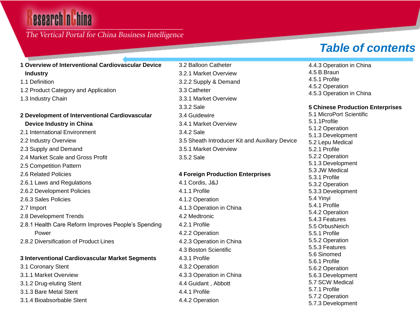# esearch nu hina

### The Vertical Portal for China Business Intelligence

**1 Overview of Interventional Cardiovascular Device** 

## *Table of contents*

| <b>Industry</b>                                     |
|-----------------------------------------------------|
| 1.1 Definition                                      |
| 1.2 Product Category and Application                |
| 1.3 Industry Chain                                  |
| 2 Development of Interventional Cardiovascular      |
| Device Industry in China                            |
| 2.1 International Environment                       |
| 2.2 Industry Overview                               |
| 2.3 Supply and Demand                               |
| 2.4 Market Scale and Gross Profit                   |
| 2.5 Competition Pattern                             |
| 2.6 Related Policies                                |
| 2.6.1 Laws and Regulations                          |
| 2.6.2 Development Policies                          |
| 2.6.3 Sales Policies                                |
| 2.7 Import                                          |
| 2.8 Development Trends                              |
| 2.8.1 Health Care Reform Improves People's Spending |
| Power                                               |
| 2.8.2 Diversification of Product Lines              |
| 3 Interventional Cardiovascular Market Segments     |

3.1 Coronary Stent 3.1.1 Market Overview 3.1.2 Drug-eluting Stent 3.1.3 Bare Metal Stent 3.1.4 Bioabsorbable Stent 3.2.1 Market Overview 3.2.2 Supply & Demand 3.3 Catheter 3.3.1 Market Overview 3.3.2 Sale 3.4 Guidewire 3.4.1 Market Overview 3.4.2 Sale 3.5 Sheath Introducer Kit and Auxiliary Device 3.5.1 Market Overview 3.5.2 Sale

3.2 Balloon Catheter

#### **4 Foreign Production Enterprises**

4.1 Cordis, J&J 4.1.1 Profile 4.1.2 Operation 4.1.3 Operation in China 4.2 Medtronic 4.2.1 Profile 4.2.2 Operation 4.2.3 Operation in China 4.3 Boston Scientific 4.3.1 Profile 4.3.2 Operation 4.3.3 Operation in China 4.4 Guidant , Abbott 4.4.1 Profile 4.4.2 Operation

4.4.3 Operation in China 4.5 B.Braun 4.5.1 Profile 4.5.2 Operation 4.5.3 Operation in China

#### **5 Chinese Production Enterprises**

5.1 MicroPort Scientific 5.1.1Profile 5.1.2 Operation 5.1.3 Development 5.2 Lepu Medical 5.2.1 Profile 5.2.2 Operation 5.1.3 Development 5.3 JW Medical 5.3.1 Profile 5.3.2 Operation 5.3.3 Development 5.4 Yinyi 5.4.1 Profile 5.4.2 Operation 5.4.3 Features 5.5 OrbusNeich 5.5.1 Profile 5.5.2 Operation 5.5.3 Features 5.6 Sinomed 5.6.1 Profile 5.6.2 Operation 5.6.3 Development 5.7 SCW Medical 5.7.1 Profile 5.7.2 Operation 5.7.3 Development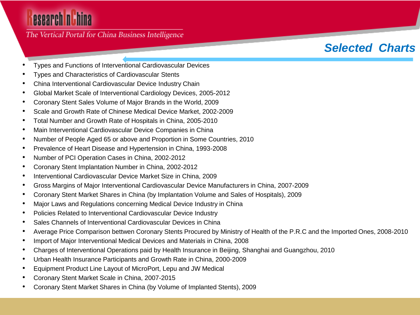# esearch nuhina

### The Vertical Portal for China Business Intelligence

## *Selected Charts*

- Types and Functions of Interventional Cardiovascular Devices
- Types and Characteristics of Cardiovascular Stents
- China Interventional Cardiovascular Device Industry Chain
- Global Market Scale of Interventional Cardiology Devices, 2005-2012
- Coronary Stent Sales Volume of Major Brands in the World, 2009
- Scale and Growth Rate of Chinese Medical Device Market, 2002-2009
- Total Number and Growth Rate of Hospitals in China, 2005-2010
- Main Interventional Cardiovascular Device Companies in China
- Number of People Aged 65 or above and Proportion in Some Countries, 2010
- Prevalence of Heart Disease and Hypertension in China, 1993-2008
- Number of PCI Operation Cases in China, 2002-2012
- Coronary Stent Implantation Number in China, 2002-2012
- Interventional Cardiovascular Device Market Size in China, 2009
- Gross Margins of Major Interventional Cardiovascular Device Manufacturers in China, 2007-2009
- Coronary Stent Market Shares in China (by Implantation Volume and Sales of Hospitals), 2009
- Major Laws and Regulations concerning Medical Device Industry in China
- Policies Related to Interventional Cardiovascular Device Industry
- Sales Channels of Interventional Cardiovascular Devices in China
- Average Price Comparison bettwen Coronary Stents Procured by Ministry of Health of the P.R.C and the Imported Ones, 2008-2010
- Import of Major Interventional Medical Devices and Materials in China, 2008
- Charges of Interventional Operations paid by Health Insurance in Beijing, Shanghai and Guangzhou, 2010
- Urban Health Insurance Participants and Growth Rate in China, 2000-2009
- Equipment Product Line Layout of MicroPort, Lepu and JW Medical
- Coronary Stent Market Scale in China, 2007-2015
- Coronary Stent Market Shares in China (by Volume of Implanted Stents), 2009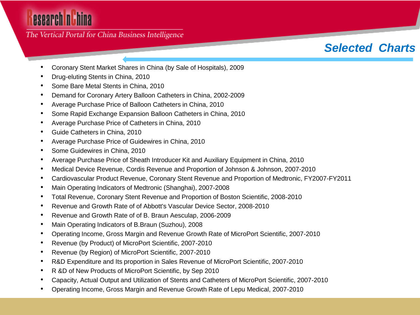# esearch nuhina

The Vertical Portal for China Business Intelligence

## *Selected Charts*

- Coronary Stent Market Shares in China (by Sale of Hospitals), 2009
- Drug-eluting Stents in China, 2010
- Some Bare Metal Stents in China, 2010
- Demand for Coronary Artery Balloon Catheters in China, 2002-2009
- Average Purchase Price of Balloon Catheters in China, 2010
- Some Rapid Exchange Expansion Balloon Catheters in China, 2010
- Average Purchase Price of Catheters in China, 2010
- Guide Catheters in China, 2010
- Average Purchase Price of Guidewires in China, 2010
- Some Guidewires in China, 2010
- Average Purchase Price of Sheath Introducer Kit and Auxiliary Equipment in China, 2010
- Medical Device Revenue, Cordis Revenue and Proportion of Johnson & Johnson, 2007-2010
- Cardiovascular Product Revenue, Coronary Stent Revenue and Proportion of Medtronic, FY2007-FY2011
- Main Operating Indicators of Medtronic (Shanghai), 2007-2008
- Total Revenue, Coronary Stent Revenue and Proportion of Boston Scientific, 2008-2010
- Revenue and Growth Rate of of Abbott's Vascular Device Sector, 2008-2010
- Revenue and Growth Rate of of B. Braun Aesculap, 2006-2009
- Main Operating Indicators of B.Braun (Suzhou), 2008
- Operating Income, Gross Margin and Revenue Growth Rate of MicroPort Scientific, 2007-2010
- Revenue (by Product) of MicroPort Scientific, 2007-2010
- Revenue (by Region) of MicroPort Scientific, 2007-2010
- R&D Expenditure and Its proportion in Sales Revenue of MicroPort Scientific, 2007-2010
- R &D of New Products of MicroPort Scientific, by Sep 2010
- Capacity, Actual Output and Utilization of Stents and Catheters of MicroPort Scientific, 2007-2010
- Operating Income, Gross Margin and Revenue Growth Rate of Lepu Medical, 2007-2010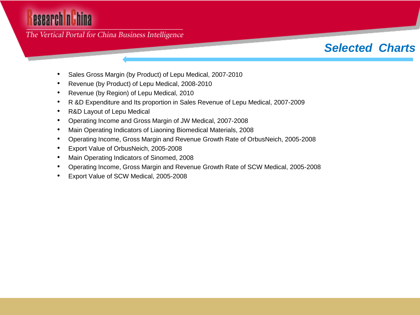# esearch nuhina

The Vertical Portal for China Business Intelligence

## *Selected Charts*

- Sales Gross Margin (by Product) of Lepu Medical, 2007-2010
- Revenue (by Product) of Lepu Medical, 2008-2010
- Revenue (by Region) of Lepu Medical, 2010
- R &D Expenditure and Its proportion in Sales Revenue of Lepu Medical, 2007-2009
- R&D Layout of Lepu Medical
- Operating Income and Gross Margin of JW Medical, 2007-2008
- Main Operating Indicators of Liaoning Biomedical Materials, 2008
- Operating Income, Gross Margin and Revenue Growth Rate of OrbusNeich, 2005-2008
- Export Value of OrbusNeich, 2005-2008
- Main Operating Indicators of Sinomed, 2008
- Operating Income, Gross Margin and Revenue Growth Rate of SCW Medical, 2005-2008
- Export Value of SCW Medical, 2005-2008